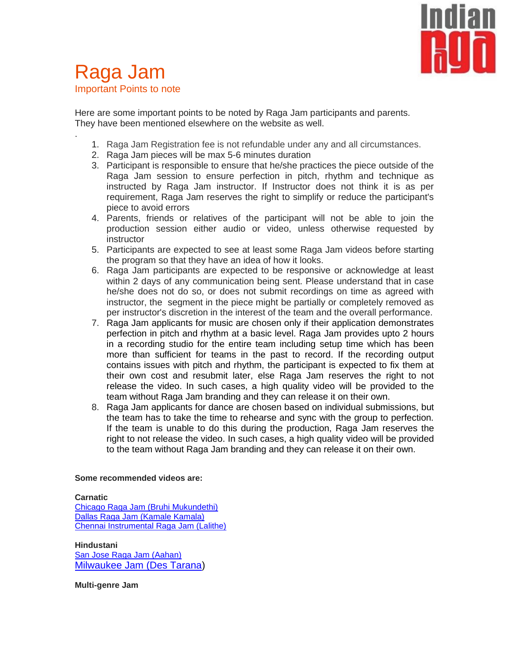

# Raga Jam Important Points to note

.

Here are some important points to be noted by Raga Jam participants and parents. They have been mentioned elsewhere on the website as well.

- 1. Raga Jam Registration fee is not refundable under any and all circumstances.
- 2. Raga Jam pieces will be max 5-6 minutes duration
- 3. Participant is responsible to ensure that he/she practices the piece outside of the Raga Jam session to ensure perfection in pitch, rhythm and technique as instructed by Raga Jam instructor. If Instructor does not think it is as per requirement, Raga Jam reserves the right to simplify or reduce the participant's piece to avoid errors
- 4. Parents, friends or relatives of the participant will not be able to join the production session either audio or video, unless otherwise requested by instructor
- 5. Participants are expected to see at least some Raga Jam videos before starting the program so that they have an idea of how it looks.
- 6. Raga Jam participants are expected to be responsive or acknowledge at least within 2 days of any communication being sent. Please understand that in case he/she does not do so, or does not submit recordings on time as agreed with instructor, the segment in the piece might be partially or completely removed as per instructor's discretion in the interest of the team and the overall performance.
- 7. Raga Jam applicants for music are chosen only if their application demonstrates perfection in pitch and rhythm at a basic level. Raga Jam provides upto 2 hours in a recording studio for the entire team including setup time which has been more than sufficient for teams in the past to record. If the recording output contains issues with pitch and rhythm, the participant is expected to fix them at their own cost and resubmit later, else Raga Jam reserves the right to not release the video. In such cases, a high quality video will be provided to the team without Raga Jam branding and they can release it on their own.
- 8. Raga Jam applicants for dance are chosen based on individual submissions, but the team has to take the time to rehearse and sync with the group to perfection. If the team is unable to do this during the production, Raga Jam reserves the right to not release the video. In such cases, a high quality video will be provided to the team without Raga Jam branding and they can release it on their own.

## **Some recommended videos are:**

#### **Carnatic**

[Chicago Raga Jam](https://www.facebook.com/ragalabs/videos/1652511528341378/) (Bruhi Mukundethi) Dallas Raga Jam [\(Kamale Kamala\)](https://www.youtube.com/watch?v=RgUXup11jw4) [Chennai Instrumental Raga Jam](https://www.facebook.com/ragalabs/videos/1758158151110048/) (Lalithe)

## **Hindustani**

[San Jose Raga Jam](https://www.youtube.com/watch?v=BqBaiwdZIv4) (Aahan) [Milwaukee Jam](https://www.facebook.com/ragalabs/videos/1668253586767172/) (Des Tarana)

#### **Multi-genre Jam**